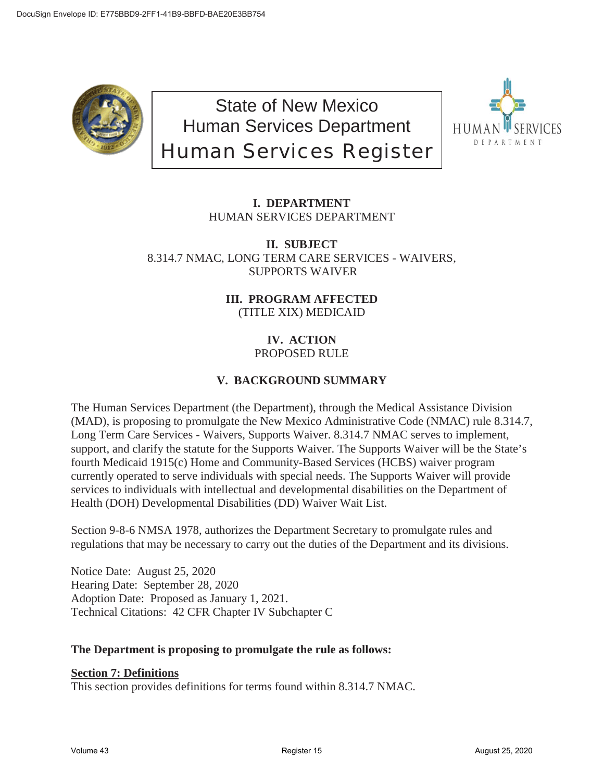

State of New Mexico Human Services Department Human Services Register



# **I. DEPARTMENT** HUMAN SERVICES DEPARTMENT

**II. SUBJECT** 8.314.7 NMAC, LONG TERM CARE SERVICES - WAIVERS, SUPPORTS WAIVER

> **III. PROGRAM AFFECTED** (TITLE XIX) MEDICAID

# **IV. ACTION** PROPOSED RULE

# **V. BACKGROUND SUMMARY**

The Human Services Department (the Department), through the Medical Assistance Division (MAD), is proposing to promulgate the New Mexico Administrative Code (NMAC) rule 8.314.7, Long Term Care Services - Waivers, Supports Waiver. 8.314.7 NMAC serves to implement, support, and clarify the statute for the Supports Waiver. The Supports Waiver will be the State's fourth Medicaid 1915(c) Home and Community-Based Services (HCBS) waiver program currently operated to serve individuals with special needs. The Supports Waiver will provide services to individuals with intellectual and developmental disabilities on the Department of Health (DOH) Developmental Disabilities (DD) Waiver Wait List.

Section 9-8-6 NMSA 1978, authorizes the Department Secretary to promulgate rules and regulations that may be necessary to carry out the duties of the Department and its divisions.

Notice Date: August 25, 2020 Hearing Date: September 28, 2020 Adoption Date: Proposed as January 1, 2021. Technical Citations: 42 CFR Chapter IV Subchapter C

# **The Department is proposing to promulgate the rule as follows:**

# **Section 7: Definitions**

This section provides definitions for terms found within 8.314.7 NMAC.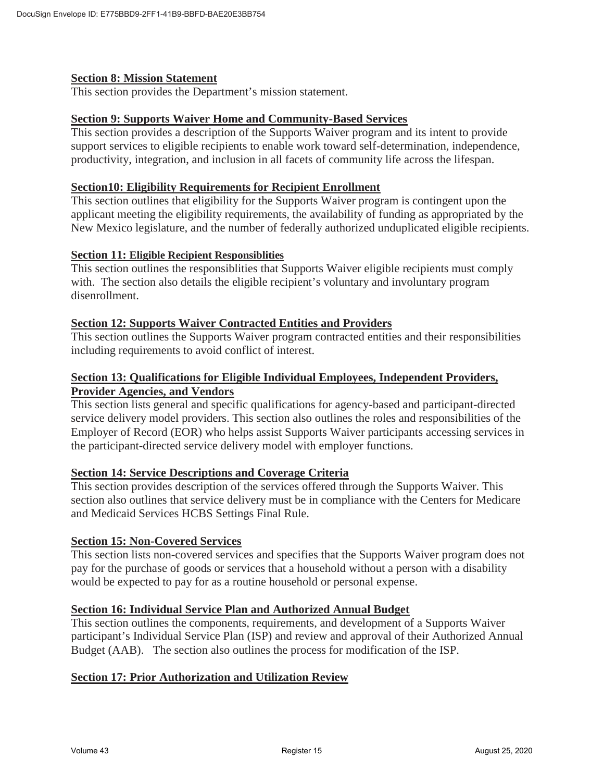# **Section 8: Mission Statement**

This section provides the Department's mission statement.

### **Section 9: Supports Waiver Home and Community-Based Services**

This section provides a description of the Supports Waiver program and its intent to provide support services to eligible recipients to enable work toward self-determination, independence, productivity, integration, and inclusion in all facets of community life across the lifespan.

### **Section10: Eligibility Requirements for Recipient Enrollment**

This section outlines that eligibility for the Supports Waiver program is contingent upon the applicant meeting the eligibility requirements, the availability of funding as appropriated by the New Mexico legislature, and the number of federally authorized unduplicated eligible recipients.

### **Section 11: Eligible Recipient Responsiblities**

This section outlines the responsiblities that Supports Waiver eligible recipients must comply with. The section also details the eligible recipient's voluntary and involuntary program disenrollment.

### **Section 12: Supports Waiver Contracted Entities and Providers**

This section outlines the Supports Waiver program contracted entities and their responsibilities including requirements to avoid conflict of interest.

# **Section 13: Qualifications for Eligible Individual Employees, Independent Providers, Provider Agencies, and Vendors**

This section lists general and specific qualifications for agency-based and participant-directed service delivery model providers. This section also outlines the roles and responsibilities of the Employer of Record (EOR) who helps assist Supports Waiver participants accessing services in the participant-directed service delivery model with employer functions.

# **Section 14: Service Descriptions and Coverage Criteria**

This section provides description of the services offered through the Supports Waiver. This section also outlines that service delivery must be in compliance with the Centers for Medicare and Medicaid Services HCBS Settings Final Rule.

#### **Section 15: Non-Covered Services**

This section lists non-covered services and specifies that the Supports Waiver program does not pay for the purchase of goods or services that a household without a person with a disability would be expected to pay for as a routine household or personal expense.

# **Section 16: Individual Service Plan and Authorized Annual Budget**

This section outlines the components, requirements, and development of a Supports Waiver participant's Individual Service Plan (ISP) and review and approval of their Authorized Annual Budget (AAB). The section also outlines the process for modification of the ISP.

# **Section 17: Prior Authorization and Utilization Review**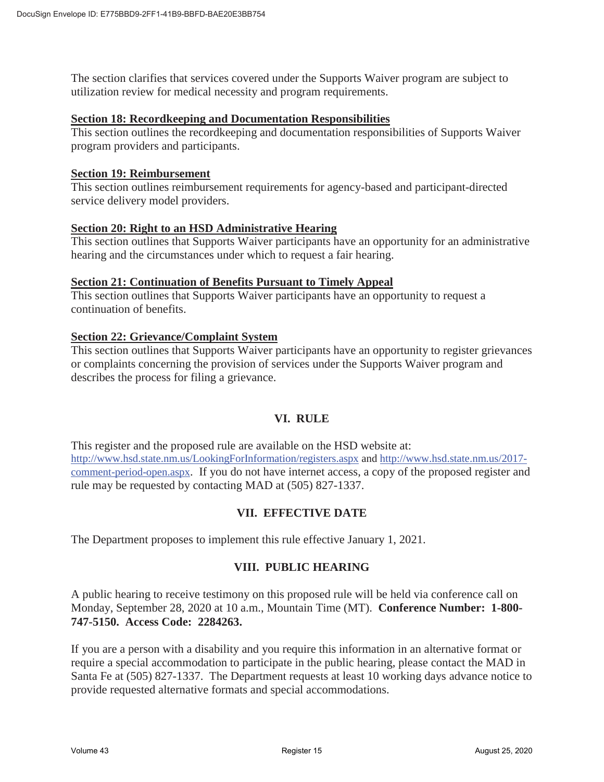The section clarifies that services covered under the Supports Waiver program are subject to utilization review for medical necessity and program requirements.

### **Section 18: Recordkeeping and Documentation Responsibilities**

This section outlines the recordkeeping and documentation responsibilities of Supports Waiver program providers and participants.

#### **Section 19: Reimbursement**

This section outlines reimbursement requirements for agency-based and participant-directed service delivery model providers.

#### **Section 20: Right to an HSD Administrative Hearing**

This section outlines that Supports Waiver participants have an opportunity for an administrative hearing and the circumstances under which to request a fair hearing.

### **Section 21: Continuation of Benefits Pursuant to Timely Appeal**

This section outlines that Supports Waiver participants have an opportunity to request a continuation of benefits.

# **Section 22: Grievance/Complaint System**

This section outlines that Supports Waiver participants have an opportunity to register grievances or complaints concerning the provision of services under the Supports Waiver program and describes the process for filing a grievance.

# **VI. RULE**

This register and the proposed rule are available on the HSD website at: http://www.hsd.state.nm.us/LookingForInformation/registers.aspx and http://www.hsd.state.nm.us/2017 comment-period-open.aspx. If you do not have internet access, a copy of the proposed register and rule may be requested by contacting MAD at (505) 827-1337.

# **VII. EFFECTIVE DATE**

The Department proposes to implement this rule effective January 1, 2021.

# **VIII. PUBLIC HEARING**

A public hearing to receive testimony on this proposed rule will be held via conference call on Monday, September 28, 2020 at 10 a.m., Mountain Time (MT). **Conference Number: 1-800- 747-5150. Access Code: 2284263.** 

If you are a person with a disability and you require this information in an alternative format or require a special accommodation to participate in the public hearing, please contact the MAD in Santa Fe at (505) 827-1337. The Department requests at least 10 working days advance notice to provide requested alternative formats and special accommodations.